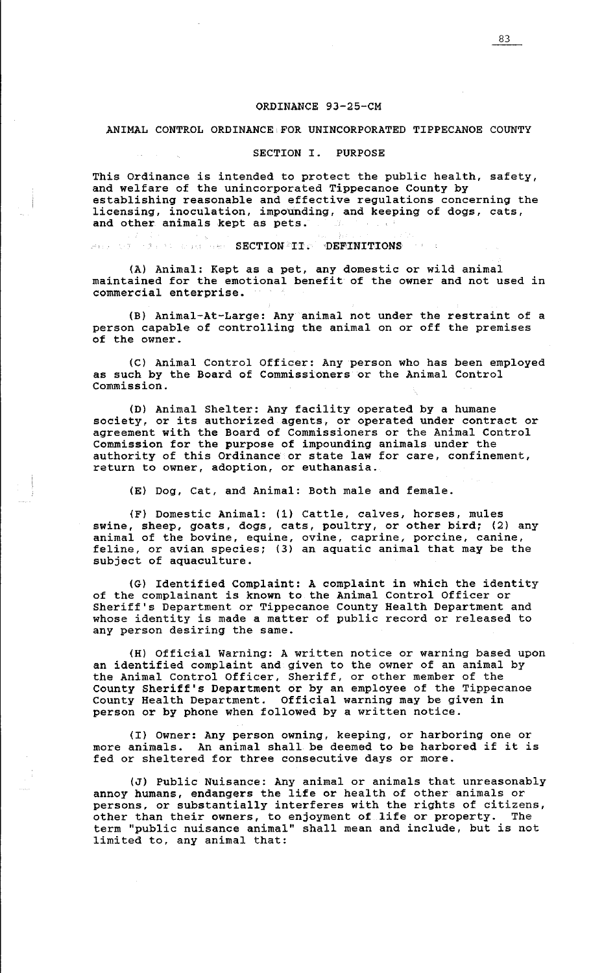### ORDINANCE 93-25-CM

### ANIMAL CONTROL ORDINANCE FOR UNINCORPORATED TIPPECANOE COUNTY

### SECTION I. PURPOSE

This Ordinance is intended to protect the public health, safety, and welfare of the unincorporated Tippecanoe County by establishing reasonable and effective regulations concerning the licensing, inoculation, impounding, and keeping of dogs, cats, and other animals kept as pets.

#### SECTION II• DEFINITIONS Association To

(A) Animal: Kept as a pet, any domestic or wild animal maintained for the emotional benefit of the owner and not used in commercial enterprise.

(B) Animal-At-Large: Any animal not under the restraint of a person capable of controlling the animal on or off the premises of the owner.

(C) Animal Control Officer: Any person who has been employed as such by the Board of Commissioners or the Animal Control Commission.

(D) Animal Shelter: Any facility operated by a humane society, or its authorized agents, or operated under contract or agreement with the Board of Commissioners or the Animal Control Commission for the purpose of impounding animals under the authority of this Ordinance or state law for care, confinement, return to owner, adoption, or euthanasia.

(E) Dog, Cat, and Animal: Both male and female.

(F) Domestic Animal: (1) Cattle, calves, horses, mules swine, sheep, goats, dogs, cats, poultry, or other bird; (2) any animal of the bovine, equine, ovine, caprine, porcine, canine, feline, or avian species; (3) an aquatic animal that may be the subject of aquaculture.

(G) Identified Complaint: A complaint in which the identity of the complainant is known to the Animal Control Officer or Sheriff's Department or Tippecanoe County Health Department and whose identity is made a matter of public record or released to any person desiring the same.

(H) Official Warning: A written notice or warning based upon an identified complaint and given to the owner of an animal by the Animal Control Officer, Sheriff, or other member of the County Sheriff's Department or by an employee of the Tippecanoe county Health Department. Official warning may be given in person or by phone when followed by a written notice.

(I) Owner: Any person owning, keeping, or harboring one or more animals. An animal shall be deemed to be harbored if it is fed or sheltered for three consecutive days or more.

(J) Public Nuisance: Any animal or animals that unreasonably annoy humans, endangers the life or health of other animals or persons, or substantially interferes with the rights of citizens, other than their owners, to enjoyment of life or property. The term "public nuisance animal" shall mean and include, but is not limited to, any animal that: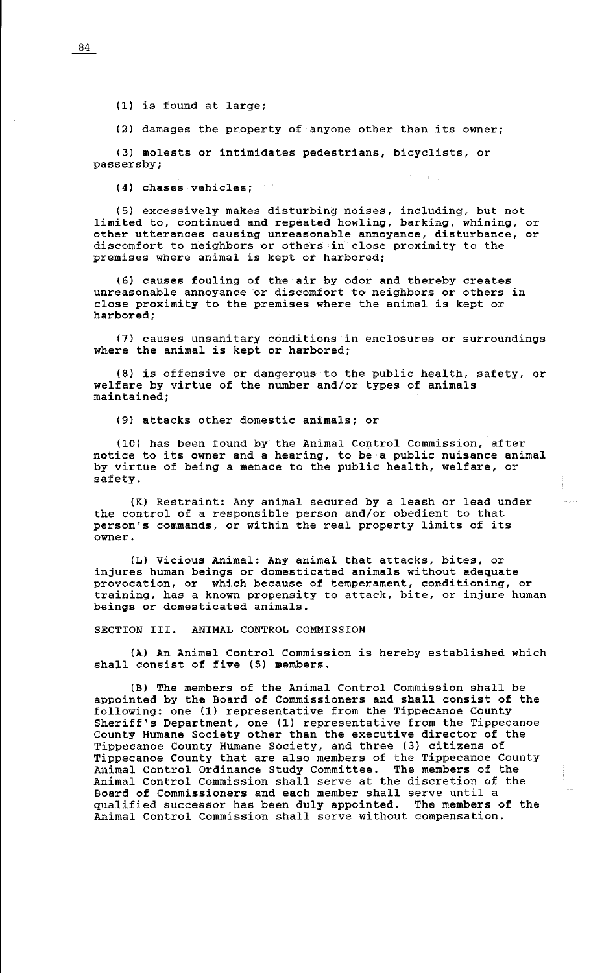(1) is found at large;

(2) damages the property of anyone other than its owner;

(3) molests or intimidates pedestrians, bicyclists, or passersby;

(4) chases vehicles;

(5) excessively makes disturbing noises, including, but not limited to, continued and repeated howling, barking, whining, or other utterances causing unreasonable annoyance, disturbance, or discomfort to neighbors or others in close proximity to the premises where animal is kept or harbored;

(6) causes fouling of the air by odor and thereby creates unreasonable annoyance or discomfort to neighbors or others in close proximity to the premises where the animal is kept or harbored;

(7) causes unsanitary conditions in enclosures or surroundings where the animal is kept or harbored;

(8) is offensive or dangerous to the public health, safety, or welfare by virtue of the number and/or types of animals maintained;

(9) attacks other domestic animals; or

(10) has been found by the Animal Control Commission, after notice to its owner and a hearing, to be a public nuisance animal by virtue of being a menace to the public health, welfare, or safety.

(K) Restraint: Any animal secured by a leash or lead under the control of a responsible person and/or obedient to that person's commands, or within the real property limits of its owner.

(L) Vicious Animal: Any animal that attacks, bites, or injures human beings or domesticated animals without adequate provocation, or which because of temperament, conditioning, or training, has a known propensity to attack, bite, or injure human beings or domesticated animals.

SECTION III. ANIMAL CONTROL COMMISSION

(A) An Animal Control Commission is hereby established which shall consist of five (5) members.

(B) The members of the Animal Control Commission shall be appointed by the Board of Commissioners and shall consist of the following: one (1) representative from the Tippecanoe County Sheriff's Department, one (1) representative from the Tippecanoe County Humane Society other than the executive director of the Tippecanoe County Humane Society, and three (3) citizens of Tippecanoe County that are also members of the Tippecanoe County Animal Control Ordinance Study Committee. The members of the Animal Control Commission shall serve at the discretion of the Board of Commissioners and each member shall serve until a qualified successor has been duly appointed. The members of the qualified successor has been duly appointed. Animal Control Commission shall serve without compensation.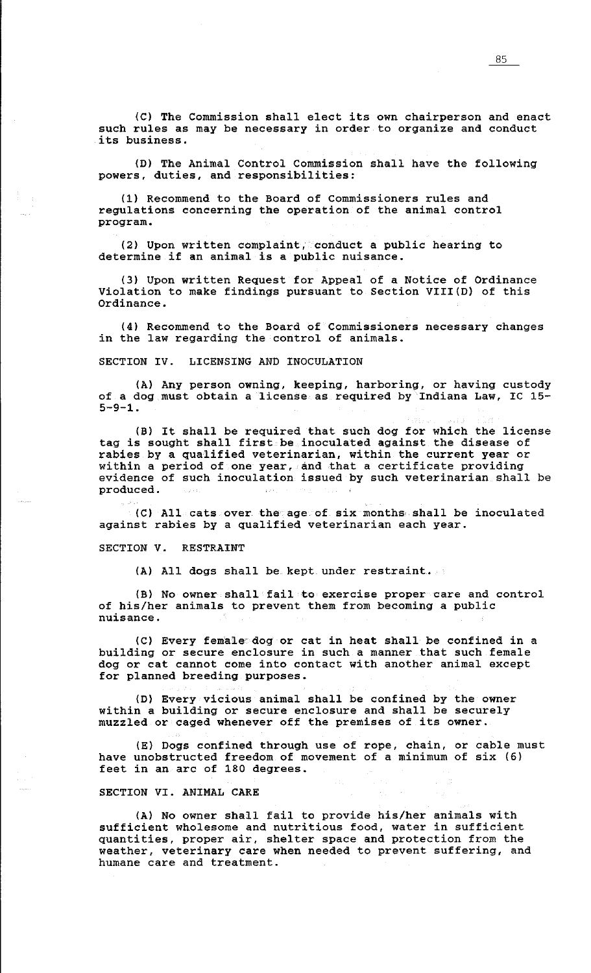(C) The Commission shall elect its own chairperson and enact such rules as may be necessary in order to organize and conduct its business.

(D) The Animal Control Commission shall have the following powers, duties, and responsibilities:

(1) Recommend to the Board of Commissioners rules and regulations concerning the operation of the animal control program.

(2) Upon written complaint, conduct a public hearing to determine if an animal is a public nuisance.

(3) Upon written Request for Appeal of a Notice of Ordinance Violation to make findings pursuant to Section VIII(D) of this Ordinance.

(4) Recommend to the Board of Commissioners necessary changes in the law regarding the control of animals.

SECTION IV. LICENSING AND INOCULATION

(A) Any person owning, keeping, harboring, or having custody of a dog must obtain a license as required by Indiana Law, IC 15-  $5-9-1.$ 

(Bl It shall be required that such dog for which the license tag is sought shall first be inoculated against the disease of rabies by a qualified veterinarian, within the current year or within a period of one year, and that a certificate providing evidence of such inoculation issued by such veterinarian shall be produced.

(C) All cats over the age of six months, shall be inoculated against rabies by a qualified veterinarian each year.

SECTION *V.* RESTRAINT

(A) All dogs shall be kept under restraint.

(B) No owner shall fail to exercise proper care and control of his/her animals to prevent them from becoming a public nuisance.

(C) Every fem'ale' dog or cat in heat shall be confined in a building or secure enclosure in such a manner that such female dog or cat cannot come into contact with another animal except for planned breeding purposes.

(D) Every vicious animal shall be confined by the owner within a building or secure enclosure and shall be securely muzzled or caged whenever off the premises of its owner.

(E) Dogs confined through use of rope, chain, or cable must have unobstructed freedom of movement of a minimum of six (6) feet in an arc of 180 degrees.

 $\sim 10^{-10}$  km

SECTION VI. ANIMAL CARE

(A) No owner shall fail to provide his/her animals with sufficient wholesome and nutritious food, water in sufficient quantities, proper air, shelter space and protection from the weather, veterinary care when needed to prevent suffering, and humane care and treatment.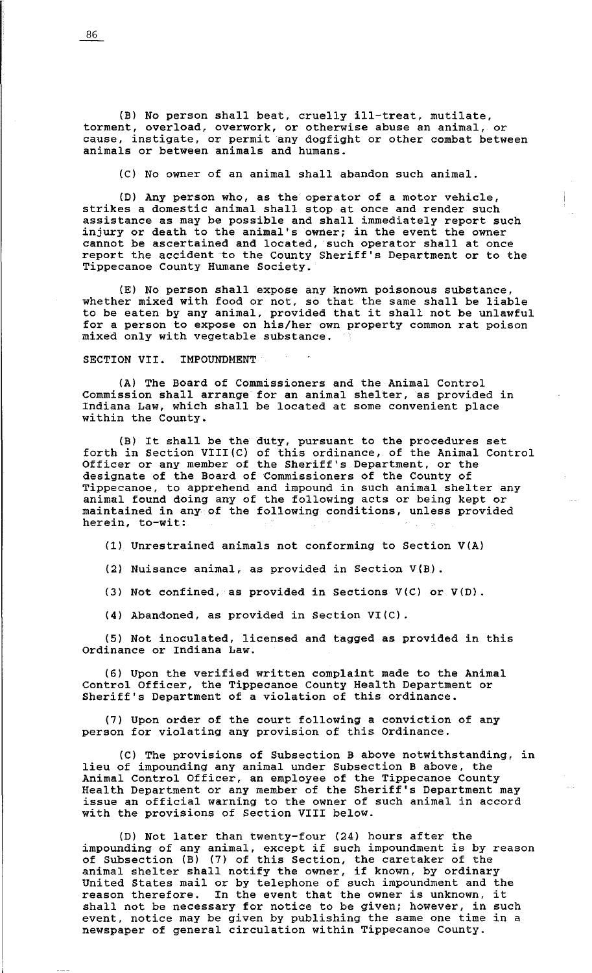(B) No person shall beat, cruelly ill-treat, mutilate, torment, overload, overwork, or otherwise abuse an animal, or cause, instigate, or permit any dogfight or other combat between animals or between animals and humans.

(C) No owner of an animal shall abandon such animal.

(D) Any person who, as the operator of a motor vehicle, strikes a domestic animal shall stop at once and render such assistance as may be possible and shall immediately report such injury or death to the animal's owner; in the event the owner cannot be ascertained and located, such operator shall at once report the accident to the County Sheriff's Department or to the Tippecanoe County Humane Society.

(E) No person shall expose any known poisonous substance, whether mixed with food or not, so that the same shall be liable to be eaten by any animal, provided that it shall not be unlawful for a person to expose on his/her own property common rat poison mixed only with vegetable substance.

SECTION VII. IMPOUNDMENT

(A) The Board of Commissioners and the Animal Control Commission shall arrange for an animal shelter, as provided in Indiana Law, which shall be located at some convenient place within the County.

(B) It shall be the duty, pursuant to the procedures set forth in Section VIII(C) of this ordinance, of the Animal Control Officer or any member of the Sheriff's Department, or the designate of the Board of Commissioners of the County of Tippecanoe, to apprehend and impound in such animal shelter any animal found doing any of the following acts or being kept or maintained in any of the following conditions, unless provided herein, to-wit:

(1) Unrestrained animals not conforming to Section V(A)

(2) Nuisance animal, as provided in Section V(B).

(3) Not confined, as provided in Sections V(C) or V(D).

(4) Abandoned, as provided in Section VI(C).

(5) Not inoculated, licensed and tagged as provided in this Ordinance or Indiana Law.

(6) Upon the verified written complaint made to the Animal Control Officer, the Tippecanoe County Health Department or Sheriff's Department of a violation of this ordinance.

(7) Upon order of the court following a conviction of any person for violating any provision of this Ordinance.

(C) The provisions of Subsection B above notwithstanding, in lieu of impounding any animal under Subsection B above, the Animal Control Officer, an employee of the Tippecanoe County Health Department or any member of the Sheriff's Department may issue an official warning to the owner of such animal in accord with the provisions of Section VIII below.

(D) Not later than twenty-four (24) hours after the impounding of any animal, except if such impoundment is by reason of Subsection (B) (7) of this Section, the caretaker of the of subsection (b) (7) of this section, the caretaker of the<br>animal shelter shall notify the owner, if known, by ordinary United States mail or by telephone of such impoundment and the united states mail or by telephone or such impoundment and the<br>reason therefore. In the event that the owner is unknown, it shall not be necessary for notice to be given; however, in such event, notice may be given by publishing the same one time in a newspaper of general circulation within Tippecanoe County.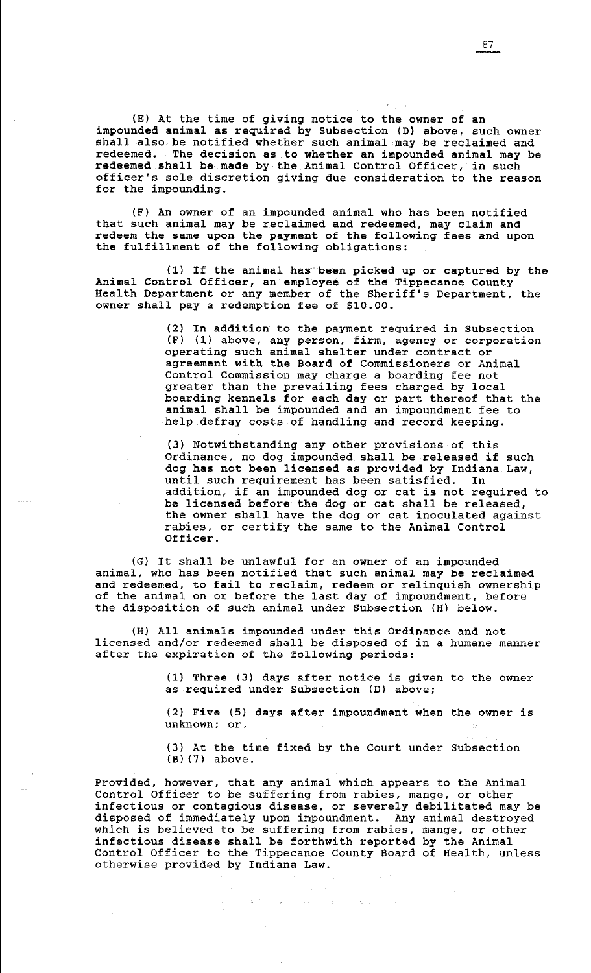(E) At the time of giving notice to the owner of an impounded animal as required by Subsection (D) above, such owner shall also be notified whether such animal may be reclaimed and redeemed. The decision as to whether an impounded animal may be redeemed shall be made by the Animal Control Officer, in such officer's sole discretion giving due consideration to the reason for the impounding.

(F) An owner of an impounded animal who has been notified that such animal may be reclaimed and redeemed, may claim and redeem the same upon the payment of the following fees and upon the fulfillment of the following obligations:

(1) If the animal has been picked up or captured by the Animal Control Officer, an employee of the Tippecanoe County Health Department or any member of the Sheriff's Department, the owner shall pay a redemption fee of \$10.00.

> (2) In addition to the payment required in Subsection (F) (1) above, any person, firm, agency or corporation operating such animal shelter under contract or agreement with the Board of Commissioners or Animal Control Commission may charge a boarding fee not greater than the prevailing fees charged by local boarding kennels for each day or part thereof that the animal shall be impounded and an impoundment fee to help defray costs of handling and record keeping.

(3) Notwithstanding any other provisions of this Ordinance, no dog impounded shall be released if such dog has not been licensed as provided by Indiana Law, until such requirement has been satisfied. In addition, if an impounded dog or cat is not required to be licensed before the dog or cat shall be released, the owner shall have the dog or cat inoculated against rabies, or certify the same to the Animal Control Officer.

(G) It shall be unlawful for an owner of an impounded animal, who has been notified that such animal may be reclaimed and redeemed, to fail to reclaim, redeem or relinquish ownership of the animal on or before the last day of impoundment, before the disposition of such animal under Subsection (H) below.

(H) All animals impounded under this Ordinance and not licensed and/or redeemed shall be disposed of in a humane manner after the expiration of the following periods:

> (1) Three (3) days after notice is given to the owner as required under Subsection (D) above;

> (2) Five (5) days after impoundment when the owner is **unknown; or,**

(3) At the time fixed by the Court under Subsection (Bl (7) above.

 $\sim 6\%$ 

Provided, however, that any animal which appears to the Animal Control Officer to be suffering from rabies, mange, or other infectious or contagious disease, or severely debilitated may be disposed of immediately upon impoundment. Any animal destroyed arspessed of immediatery upon impoundment. They diffuse destroyed which is believed to be suffering from rabies, mange, or other infectious disease shall be forthwith reported by the Animal Control Officer to the Tippecanoe County Board of Health, unless otherwise provided by Indiana Law.

 $\begin{split} \mathcal{L}_{\text{max}} & = \mathcal{L}_{\text{max}} \left( \mathcal{L}_{\text{max}} \right) \left( \mathcal{L}_{\text{max}} \right) = \mathcal{L}_{\text{max}} \\ & \Delta \left( \mathcal{L}_{\text{max}} \right) = \mathcal{L}_{\text{max}} \left( \mathcal{L}_{\text{max}} \right) \left( \mathcal{L}_{\text{max}} \right) = \mathcal{L}_{\text{max}} \end{split}$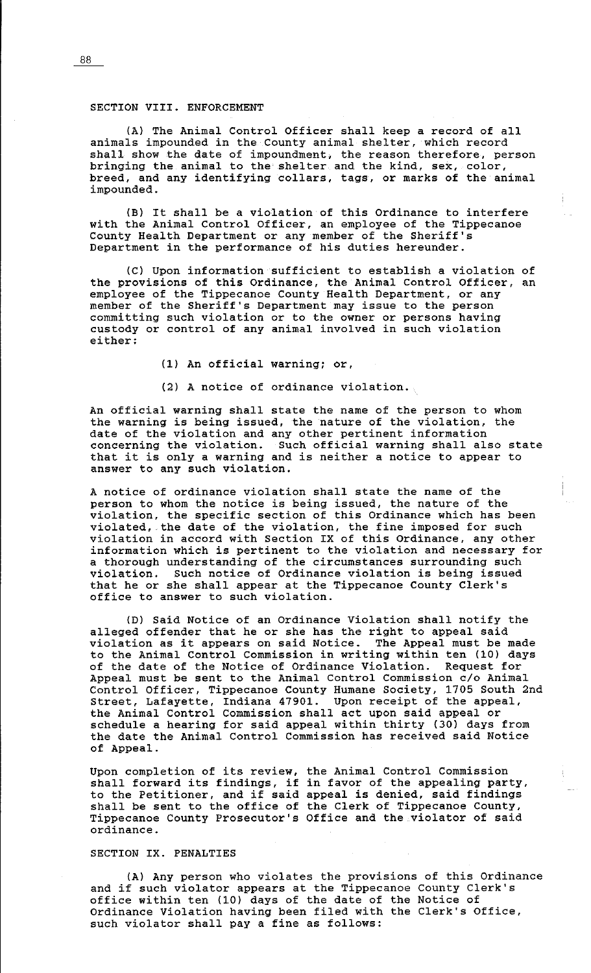# SECTION VIII. ENFORCEMENT

(A) The Animal Control Officer shall keep a record of all animals impounded in the County animal shelter, which record shall show the date of impoundment, the reason therefore, person bringing the animal to the shelter and the kind, sex, color, breed, and any identifying collars, tags, or marks of the animal impounded.

(B) It shall be a violation of this Ordinance to interfere with the Animal Control Officer, an employee of the Tippecanoe County Health Department or any member of the Sheriff's Department in the performance of his duties hereunder.

(C) Upon information sufficient to establish a violation of the provisions of this Ordinance, the Animal Control Officer, an employee of the Tippecanoe County Health Department, or any member of the Sheriff's Department may issue to the person committing such violation or to the owner or persons having custody or control of any animal involved in such violation either:

(1) An official warning; or,

(2) A notice of ordinance violation.

An official warning shall state the name of the person to whom the warning is being issued, the nature of the violation, the date of the violation and any other pertinent information concerning the violation. Such official warning shall also state that it is only a warning and is neither a notice to appear to answer to any such violation.

A notice of ordinance violation shall state the name of the person to whom the notice is being issued, the nature of the violation, the specific section of this Ordinance which has been violated, the date of the violation, the fine imposed for such violation in accord with Section IX of this Ordinance, any other information which is pertinent to the violation and necessary for a thorough understanding of the circumstances surrounding such violation. Such notice of Ordinance violation is being issued that he or she shall appear at the Tippecanoe County Clerk's office to answer to such violation.

(D) Said Notice of an Ordinance Violation shall notify the alleged offender that he or she has the right to appeal said violation as it appears on said Notice. The Appeal must be made to the Animal Control Commission in writing within ten (10) days of the date of the Notice of Ordinance Violation. Request for Appeal must be sent to the Animal Control Commission c/o Animal Control Officer, Tippecanoe County Humane Society, 1705 South 2nd Street, Lafayette, Indiana 47901. Upon receipt of the appeal, the Animal Control Commission shall act upon said appeal or schedule a hearing for said appeal within thirty (30) days from the date the Animal Control Commission has received said Notice of Appeal.

Upon completion of its review, the Animal Control Commission shall forward its findings, if in favor of the appealing party, to the Petitioner, and if said appeal is denied, said findings shall be sent to the office of the Clerk of Tippecanoe County, Tippecanoe County Prosecutor's Office and the violator of said ordinance.

## SECTION IX. PENALTIES

(A) Any person who violates the provisions of this Ordinance and if such violator appears at the Tippecanoe County Clerk's office within ten (10) days of the date of the Notice of Ordinance Violation having been filed with the Clerk's Office, such violator shall pay a fine as follows: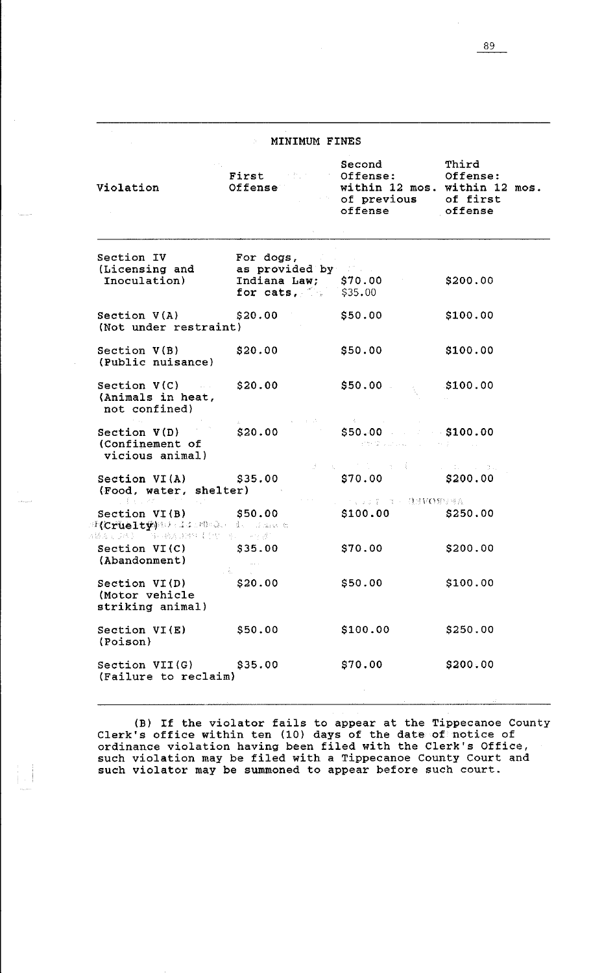# **MINIMUM FINES**

| Violation                                                                                                                 | First Cffense: Offense:<br>Offense                      | Second<br>within 12 mos. within 12 mos.<br>of previous of first<br>offense offense                                                                                                                                                                                                                                                                                                                                                                                                                      | Third    |
|---------------------------------------------------------------------------------------------------------------------------|---------------------------------------------------------|---------------------------------------------------------------------------------------------------------------------------------------------------------------------------------------------------------------------------------------------------------------------------------------------------------------------------------------------------------------------------------------------------------------------------------------------------------------------------------------------------------|----------|
| Section IV<br>(Licensing and as provided by<br>Inoculation)                                                               | For dogs.<br>Indiana Law; \$70.00<br>for cats, $$35.00$ |                                                                                                                                                                                                                                                                                                                                                                                                                                                                                                         | \$200.00 |
| Section V(A)<br>(Not under restraint)                                                                                     | \$20.00                                                 | \$50.00                                                                                                                                                                                                                                                                                                                                                                                                                                                                                                 | \$100.00 |
| Section V(B)<br>(Public nuisance)                                                                                         | \$20.00                                                 | \$50.00                                                                                                                                                                                                                                                                                                                                                                                                                                                                                                 | \$100.00 |
| Section $V(C)$ $$20.00$<br>(Animals in heat,<br>not confined)                                                             |                                                         | \$50.00                                                                                                                                                                                                                                                                                                                                                                                                                                                                                                 | \$100.00 |
| Section $V(D)$<br>(Confinement of<br>vicious animal)                                                                      | \$20.00                                                 | the state of the state of the state of<br>$$50.00$ $$100.00$<br>and the Moskowski construction of the process of the                                                                                                                                                                                                                                                                                                                                                                                    |          |
| Section $VI(A)$ \$35.00<br>(Food, water, shelter)<br>アール 手足 マイカー・ファー                                                      |                                                         | $\mathcal{J}_\mathcal{C} = \mathcal{K}_\mathcal{C} = \mathcal{C} \mathcal{C} \mathcal{L}_\mathcal{C} = \mathcal{A} \mathcal{C} \mathcal{L}_\mathcal{C} = \mathcal{C} \mathcal{C} \mathcal{C} \mathcal{C} \mathcal{C} \mathcal{C} \mathcal{C} \mathcal{C} \mathcal{C} \mathcal{C} \mathcal{C} \mathcal{C} \mathcal{C} \mathcal{C} \mathcal{C} \mathcal{C} \mathcal{C} \mathcal{C} \mathcal{C} \mathcal{C} \mathcal{C} \mathcal{C} \mathcal{C} \mathcal{C}$<br>$$70.00$ $$200.00$<br>シート、ランク・キャーはほNO8のほん。 |          |
| Section $VI(B)$ \$50.00<br>$F(\text{CrueIty})$ 2019 is the control of the state $\alpha$<br>杨成宝 只能走过,自己被着眼睛往床前出现来,一直生活的人。 |                                                         | $$100.00$ $$250.00$                                                                                                                                                                                                                                                                                                                                                                                                                                                                                     |          |
| Section $VI(C)$ $$35.00$<br>(Abandonment)                                                                                 |                                                         | \$70.00                                                                                                                                                                                                                                                                                                                                                                                                                                                                                                 | \$200.00 |
| Section VI(D)<br>(Motor vehicle<br>striking animal)                                                                       | \$20.00                                                 | \$50.00                                                                                                                                                                                                                                                                                                                                                                                                                                                                                                 | \$100.00 |
| Section VI(E)<br>(Poison)                                                                                                 | \$50.00                                                 | \$100.00                                                                                                                                                                                                                                                                                                                                                                                                                                                                                                | \$250.00 |
| Section VII(G)<br>(Failure to reclaim)                                                                                    | \$35.00                                                 | \$70.00                                                                                                                                                                                                                                                                                                                                                                                                                                                                                                 | \$200.00 |

Ã ă.

> (B) If the violator fails to appear at the Tippecanoe County Clerk's office within ten (10) days of the date of notice of ordinance violation having been filed with the Clerk's Office, such violation may be filed with a Tippecanoe County Court and such violator may be summoned to appear before such court.